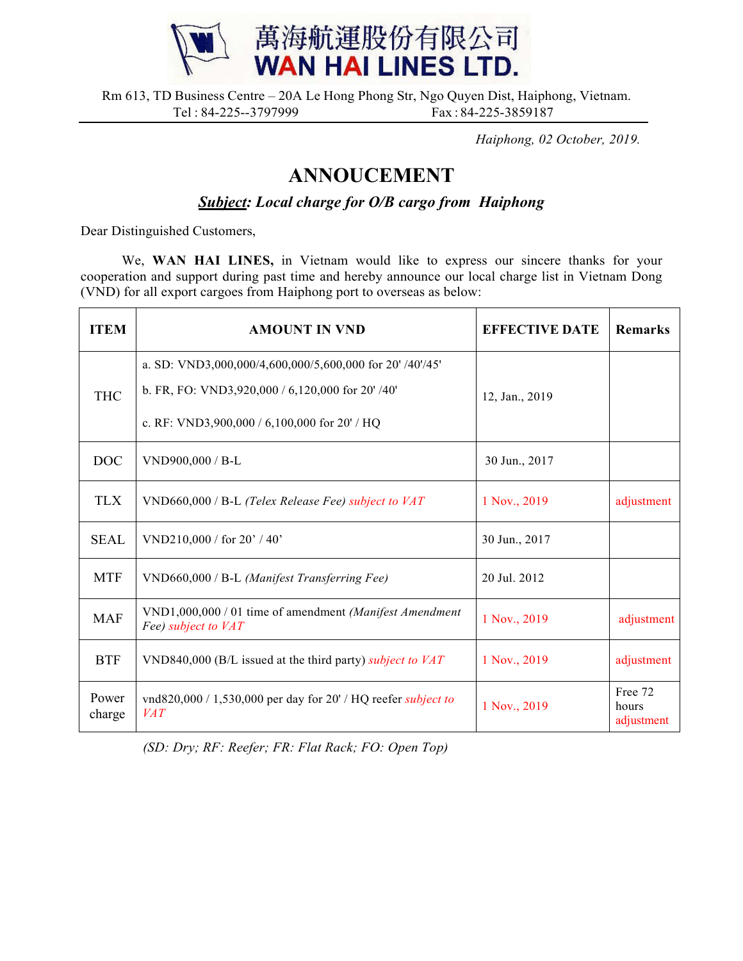

Rm 613, TD Business Centre – 20A Le Hong Phong Str, Ngo Quyen Dist, Haiphong, Vietnam. Tel: 84-225--3797999 Fax: 84-225-3859187

*Haiphong, 02 October, 2019.*

## **ANNOUCEMENT**

*Subject: Local charge for O/B cargo from Haiphong*

Dear Distinguished Customers,

We, **WAN HAI LINES,** in Vietnam would like to express our sincere thanks for your cooperation and support during past time and hereby announce our local charge list in Vietnam Dong (VND) for all export cargoes from Haiphong port to overseas as below:

| <b>ITEM</b>     | <b>AMOUNT IN VND</b>                                                               | <b>EFFECTIVE DATE</b> | <b>Remarks</b>                 |
|-----------------|------------------------------------------------------------------------------------|-----------------------|--------------------------------|
| <b>THC</b>      | a. SD: VND3,000,000/4,600,000/5,600,000 for 20' /40'/45'                           |                       |                                |
|                 | b. FR, FO: VND3,920,000 / 6,120,000 for 20' /40'                                   | 12, Jan., 2019        |                                |
|                 | c. RF: VND3,900,000 / 6,100,000 for 20' / HQ                                       |                       |                                |
| <b>DOC</b>      | VND900,000 / B-L                                                                   | 30 Jun., 2017         |                                |
| <b>TLX</b>      | VND660,000 / B-L (Telex Release Fee) subject to VAT                                | 1 Nov., 2019          | adjustment                     |
| <b>SEAL</b>     | VND210,000 / for $20'$ / 40'                                                       | 30 Jun., 2017         |                                |
| <b>MTF</b>      | VND660,000 / B-L (Manifest Transferring Fee)                                       | 20 Jul. 2012          |                                |
| <b>MAF</b>      | VND1,000,000 / 01 time of amendment (Manifest Amendment<br>Fee) subject to VAT     | 1 Nov., 2019          | adjustment                     |
| <b>BTF</b>      | VND840,000 (B/L issued at the third party) subject to $VAT$                        | 1 Nov., 2019          | adjustment                     |
| Power<br>charge | vnd820,000 / 1,530,000 per day for 20' / HQ reefer <i>subject to</i><br><i>VAT</i> | 1 Nov., 2019          | Free 72<br>hours<br>adjustment |

*(SD: Dry; RF: Reefer; FR: Flat Rack; FO: Open Top)*